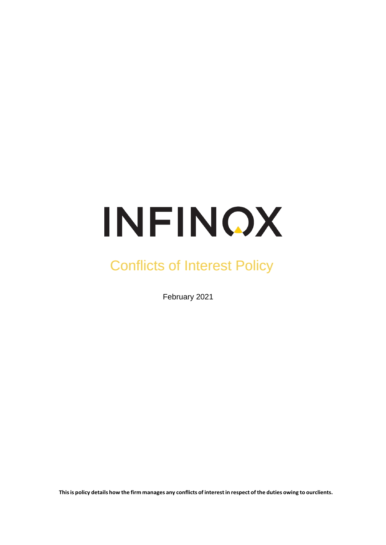# INFINOX

## Conflicts of Interest Policy

February 2021

This is policy details how the firm manages any conflicts of interest in respect of the duties owing to ourclients.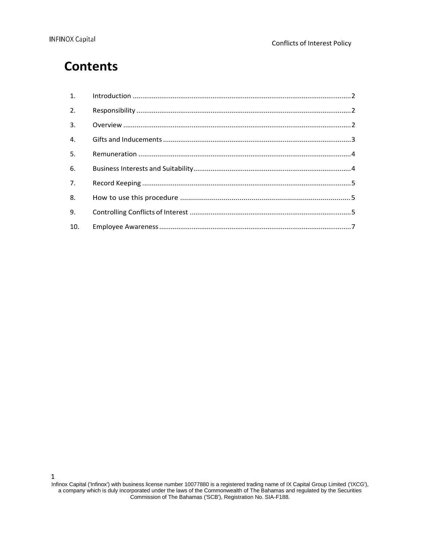### **Contents**

| 2.               |  |
|------------------|--|
| 3.               |  |
| $\overline{4}$ . |  |
| 5 <sub>1</sub>   |  |
| 6.               |  |
| 7.               |  |
| 8.               |  |
| 9.               |  |
| 10.              |  |

1

Infinox Capital ('Infinox') with business license number 10077880 is a registered trading name of IX Capital Group Limited ('IXCG'), a company which is duly incorporated under the laws of the Commonwealth of The Bahamas and regulated by the Securities Commission of The Bahamas ('SCB'), Registration No. SIA-F188.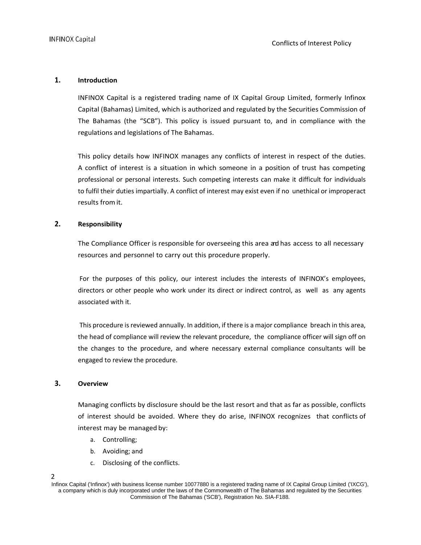#### **1. Introduction**

INFINOX Capital is a registered trading name of IX Capital Group Limited, formerly Infinox Capital (Bahamas) Limited, which is authorized and regulated by the Securities Commission of The Bahamas (the "SCB"). This policy is issued pursuant to, and in compliance with the regulations and legislations of The Bahamas.

This policy details how INFINOX manages any conflicts of interest in respect of the duties. A conflict of interest is a situation in which someone in a position of trust has competing professional or personal interests. Such competing interests can make it difficult for individuals to fulfil their duties impartially. A conflict of interest may exist even if no unethical or improperact results from it.

#### **2. Responsibility**

The Compliance Officer is responsible for overseeing this area and has access to all necessary resources and personnel to carry out this procedure properly.

For the purposes of this policy, our interest includes the interests of INFINOX's employees, directors or other people who work under its direct or indirect control, as well as any agents associated with it.

This procedure is reviewed annually. In addition, if there is a major compliance breach in this area, the head of compliance will review the relevant procedure, the compliance officer will sign off on the changes to the procedure, and where necessary external compliance consultants will be engaged to review the procedure.

#### **3. Overview**

Managing conflicts by disclosure should be the last resort and that as far as possible, conflicts of interest should be avoided. Where they do arise, INFINOX recognizes that conflicts of interest may be managed by:

- a. Controlling;
- b. Avoiding; and
- c. Disclosing of the conflicts.

#### 2

Infinox Capital ('Infinox') with business license number 10077880 is a registered trading name of IX Capital Group Limited ('IXCG'), a company which is duly incorporated under the laws of the Commonwealth of The Bahamas and regulated by the Securities Commission of The Bahamas ('SCB'), Registration No. SIA-F188.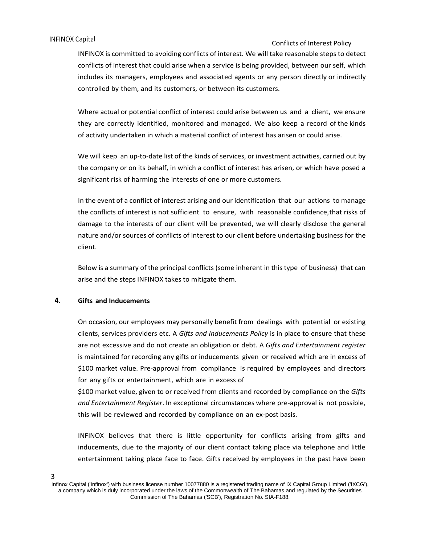#### **INFINOX Capital**

#### Conflicts of Interest Policy

INFINOX is committed to avoiding conflicts of interest. We will take reasonable steps to detect conflicts of interest that could arise when a service is being provided, between our self, which includes its managers, employees and associated agents or any person directly or indirectly controlled by them, and its customers, or between its customers.

Where actual or potential conflict of interest could arise between us and a client, we ensure they are correctly identified, monitored and managed. We also keep a record of the kinds of activity undertaken in which a material conflict of interest has arisen or could arise.

We will keep an up-to-date list of the kinds of services, or investment activities, carried out by the company or on its behalf, in which a conflict of interest has arisen, or which have posed a significant risk of harming the interests of one or more customers.

In the event of a conflict of interest arising and our identification that our actions to manage the conflicts of interest is not sufficient to ensure, with reasonable confidence,that risks of damage to the interests of our client will be prevented, we will clearly disclose the general nature and/or sources of conflicts of interest to our client before undertaking business for the client.

Below is a summary of the principal conflicts (some inherent in this type of business) that can arise and the steps INFINOX takes to mitigate them.

#### **4. Gifts and Inducements**

3

On occasion, our employees may personally benefit from dealings with potential or existing clients, services providers etc. A *Gifts and Inducements Policy* is in place to ensure that these are not excessive and do not create an obligation or debt. A *Gifts and Entertainment register* is maintained for recording any gifts or inducements given or received which are in excess of \$100 market value. Pre-approval from compliance is required by employees and directors for any gifts or entertainment, which are in excess of

\$100 market value, given to or received from clients and recorded by compliance on the *Gifts and Entertainment Register*. In exceptional circumstances where pre-approval is not possible, this will be reviewed and recorded by compliance on an ex-post basis.

INFINOX believes that there is little opportunity for conflicts arising from gifts and inducements, due to the majority of our client contact taking place via telephone and little entertainment taking place face to face. Gifts received by employees in the past have been

Infinox Capital ('Infinox') with business license number 10077880 is a registered trading name of IX Capital Group Limited ('IXCG'), a company which is duly incorporated under the laws of the Commonwealth of The Bahamas and regulated by the Securities Commission of The Bahamas ('SCB'), Registration No. SIA-F188.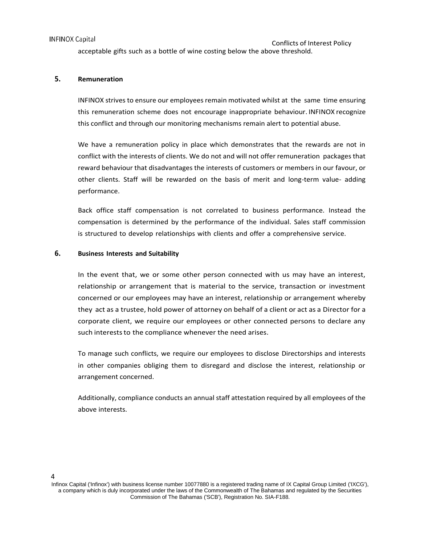#### **INFINOX Capital**

acceptable gifts such as a bottle of wine costing below the above threshold.

#### **5. Remuneration**

INFINOX strives to ensure our employees remain motivated whilst at the same time ensuring this remuneration scheme does not encourage inappropriate behaviour. INFINOX recognize this conflict and through our monitoring mechanisms remain alert to potential abuse.

We have a remuneration policy in place which demonstrates that the rewards are not in conflict with the interests of clients. We do not and will not offer remuneration packages that reward behaviour that disadvantages the interests of customers or members in our favour, or other clients. Staff will be rewarded on the basis of merit and long-term value- adding performance.

Back office staff compensation is not correlated to business performance. Instead the compensation is determined by the performance of the individual. Sales staff commission is structured to develop relationships with clients and offer a comprehensive service.

#### **6. Business Interests and Suitability**

In the event that, we or some other person connected with us may have an interest, relationship or arrangement that is material to the service, transaction or investment concerned or our employees may have an interest, relationship or arrangement whereby they act as a trustee, hold power of attorney on behalf of a client or act as a Director for a corporate client, we require our employees or other connected persons to declare any such interests to the compliance whenever the need arises.

To manage such conflicts, we require our employees to disclose Directorships and interests in other companies obliging them to disregard and disclose the interest, relationship or arrangement concerned.

Additionally, compliance conducts an annual staff attestation required by all employees of the above interests.

#### $\Delta$

Infinox Capital ('Infinox') with business license number 10077880 is a registered trading name of IX Capital Group Limited ('IXCG'), a company which is duly incorporated under the laws of the Commonwealth of The Bahamas and regulated by the Securities Commission of The Bahamas ('SCB'), Registration No. SIA-F188.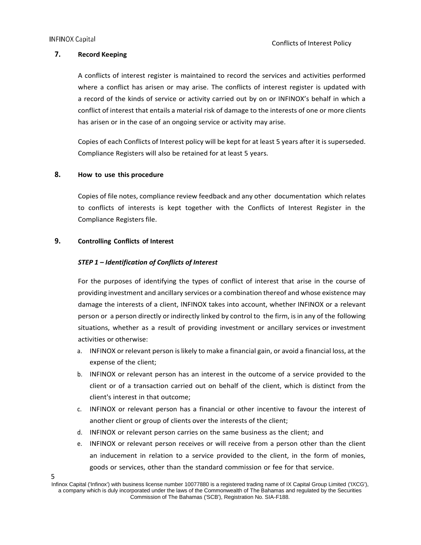5

#### **7. Record Keeping**

A conflicts of interest register is maintained to record the services and activities performed where a conflict has arisen or may arise. The conflicts of interest register is updated with a record of the kinds of service or activity carried out by on or INFINOX's behalf in which a conflict of interest that entails a material risk of damage to the interests of one or more clients has arisen or in the case of an ongoing service or activity may arise.

Copies of each Conflicts of Interest policy will be kept for at least 5 years after it is superseded. Compliance Registers will also be retained for at least 5 years.

#### **8. How to use this procedure**

Copies of file notes, compliance review feedback and any other documentation which relates to conflicts of interests is kept together with the Conflicts of Interest Register in the Compliance Registers file.

#### **9. Controlling Conflicts of Interest**

#### *STEP 1 – Identification of Conflicts of Interest*

For the purposes of identifying the types of conflict of interest that arise in the course of providing investment and ancillary services or a combination thereof and whose existence may damage the interests of a client, INFINOX takes into account, whether INFINOX or a relevant person or a person directly or indirectly linked by control to the firm, is in any of the following situations, whether as a result of providing investment or ancillary services or investment activities or otherwise:

- a. INFINOX or relevant person is likely to make a financial gain, or avoid a financial loss, at the expense of the client;
- b. INFINOX or relevant person has an interest in the outcome of a service provided to the client or of a transaction carried out on behalf of the client, which is distinct from the client's interest in that outcome;
- c. INFINOX or relevant person has a financial or other incentive to favour the interest of another client or group of clients over the interests of the client;
- d. INFINOX or relevant person carries on the same business as the client; and
- e. INFINOX or relevant person receives or will receive from a person other than the client an inducement in relation to a service provided to the client, in the form of monies, goods or services, other than the standard commission or fee for that service.

Infinox Capital ('Infinox') with business license number 10077880 is a registered trading name of IX Capital Group Limited ('IXCG'), a company which is duly incorporated under the laws of the Commonwealth of The Bahamas and regulated by the Securities Commission of The Bahamas ('SCB'), Registration No. SIA-F188.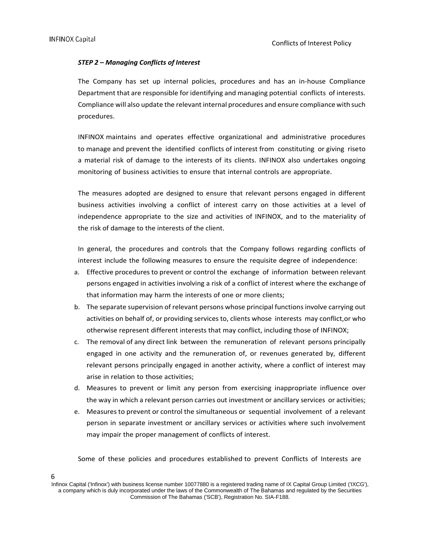#### *STEP 2 – Managing Conflicts of Interest*

The Company has set up internal policies, procedures and has an in-house Compliance Department that are responsible for identifying and managing potential conflicts of interests. Compliance will also update the relevant internal procedures and ensure compliance with such procedures.

INFINOX maintains and operates effective organizational and administrative procedures to manage and prevent the identified conflicts of interest from constituting or giving riseto a material risk of damage to the interests of its clients. INFINOX also undertakes ongoing monitoring of business activities to ensure that internal controls are appropriate.

The measures adopted are designed to ensure that relevant persons engaged in different business activities involving a conflict of interest carry on those activities at a level of independence appropriate to the size and activities of INFINOX, and to the materiality of the risk of damage to the interests of the client.

In general, the procedures and controls that the Company follows regarding conflicts of interest include the following measures to ensure the requisite degree of independence:

- a. Effective procedures to prevent or control the exchange of information between relevant persons engaged in activities involving a risk of a conflict of interest where the exchange of that information may harm the interests of one or more clients;
- b. The separate supervision of relevant persons whose principal functions involve carrying out activities on behalf of, or providing services to, clients whose interests may conflict,or who otherwise represent different interests that may conflict, including those of INFINOX;
- c. The removal of any direct link between the remuneration of relevant persons principally engaged in one activity and the remuneration of, or revenues generated by, different relevant persons principally engaged in another activity, where a conflict of interest may arise in relation to those activities;
- d. Measures to prevent or limit any person from exercising inappropriate influence over the way in which a relevant person carries out investment or ancillary services or activities;
- e. Measures to prevent or control the simultaneous or sequential involvement of a relevant person in separate investment or ancillary services or activities where such involvement may impair the proper management of conflicts of interest.

Some of these policies and procedures established to prevent Conflicts of Interests are

6

Infinox Capital ('Infinox') with business license number 10077880 is a registered trading name of IX Capital Group Limited ('IXCG'), a company which is duly incorporated under the laws of the Commonwealth of The Bahamas and regulated by the Securities Commission of The Bahamas ('SCB'), Registration No. SIA-F188.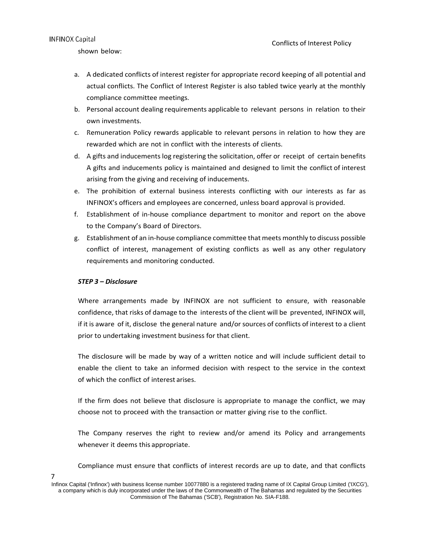#### **INFINOX Capital**

shown below:

- a. A dedicated conflicts of interest register for appropriate record keeping of all potential and actual conflicts. The Conflict of Interest Register is also tabled twice yearly at the monthly compliance committee meetings.
- b. Personal account dealing requirements applicable to relevant persons in relation to their own investments.
- c. Remuneration Policy rewards applicable to relevant persons in relation to how they are rewarded which are not in conflict with the interests of clients.
- d. A gifts and inducements log registering the solicitation, offer or receipt of certain benefits A gifts and inducements policy is maintained and designed to limit the conflict of interest arising from the giving and receiving of inducements.
- e. The prohibition of external business interests conflicting with our interests as far as INFINOX's officers and employees are concerned, unless board approval is provided.
- f. Establishment of in-house compliance department to monitor and report on the above to the Company's Board of Directors.
- g. Establishment of an in-house compliance committee that meets monthly to discuss possible conflict of interest, management of existing conflicts as well as any other regulatory requirements and monitoring conducted.

#### *STEP 3 – Disclosure*

7

Where arrangements made by INFINOX are not sufficient to ensure, with reasonable confidence, that risks of damage to the interests of the client will be prevented, INFINOX will, if it is aware of it, disclose the general nature and/or sources of conflicts of interest to a client prior to undertaking investment business for that client.

The disclosure will be made by way of a written notice and will include sufficient detail to enable the client to take an informed decision with respect to the service in the context of which the conflict of interest arises.

If the firm does not believe that disclosure is appropriate to manage the conflict, we may choose not to proceed with the transaction or matter giving rise to the conflict.

The Company reserves the right to review and/or amend its Policy and arrangements whenever it deems this appropriate.

Compliance must ensure that conflicts of interest records are up to date, and that conflicts

Infinox Capital ('Infinox') with business license number 10077880 is a registered trading name of IX Capital Group Limited ('IXCG'), a company which is duly incorporated under the laws of the Commonwealth of The Bahamas and regulated by the Securities Commission of The Bahamas ('SCB'), Registration No. SIA-F188.